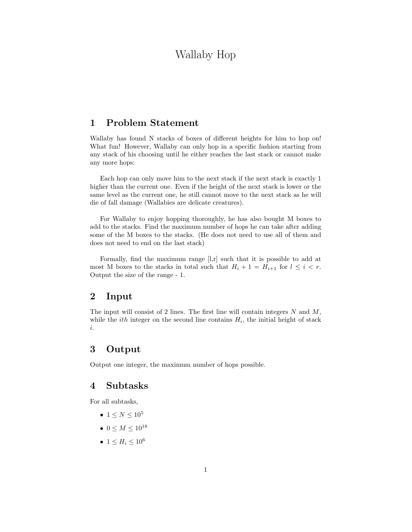# Wallaby Hop

## 1 Problem Statement

Wallaby has found N stacks of boxes of different heights for him to hop on! What fun! However, Wallaby can only hop in a specific fashion starting from any stack of his choosing until he either reaches the last stack or cannot make any more hops:

Each hop can only move him to the next stack if the next stack is exactly 1 higher than the current one. Even if the height of the next stack is lower or the same level as the current one, he still cannot move to the next stack as he will die of fall damage (Wallabies are delicate creatures).

For Wallaby to enjoy hopping thoroughly, he has also bought M boxes to add to the stacks. Find the maximum number of hops he can take after adding some of the M boxes to the stacks. (He does not need to use all of them and does not need to end on the last stack)

Formally, find the maximum range [l,r] such that it is possible to add at most M boxes to the stacks in total such that  $H_i + 1 = H_{i+1}$  for  $l \leq i < r$ . Output the size of the range - 1.

#### 2 Input

The input will consist of 2 lines. The first line will contain integers  $N$  and  $M$ , while the *ith* integer on the second line contains  $H_i$ , the initial height of stack i.

#### 3 Output

Output one integer, the maximum number of hops possible.

#### 4 Subtasks

For all subtasks,

- 1  $\leq N \leq 10^5$
- $0 \le M \le 10^{18}$
- $1 \leq H_i \leq 10^6$